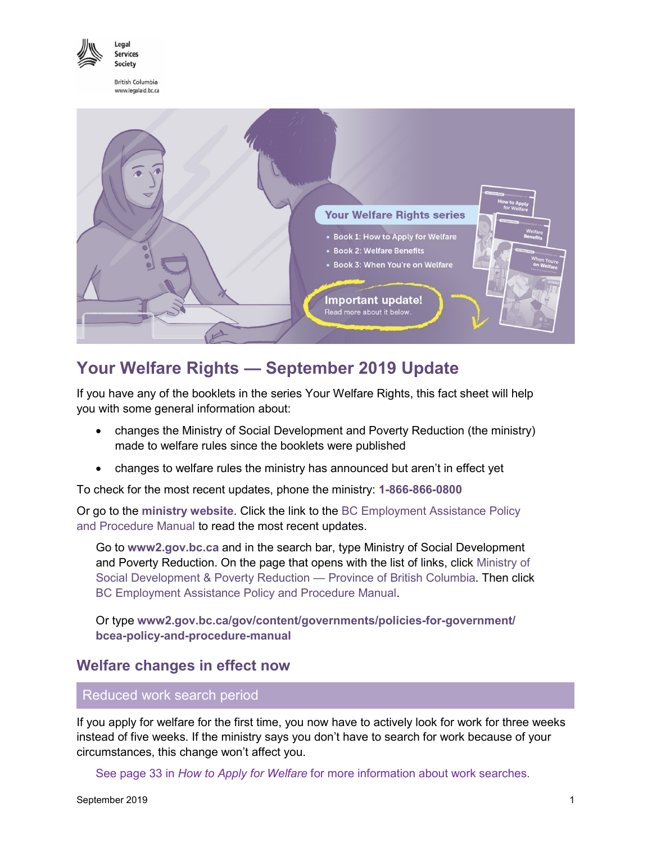

Legal Services Society

**British Columbia** www.legalaid.bc.ca



# **Your Welfare Rights — September 2019 Update**

If you have any of the booklets in the series Your Welfare Rights, this fact sheet will help you with some general information about:

- changes the Ministry of Social Development and Poverty Reduction (the ministry) made to welfare rules since the booklets were published
- changes to welfare rules the ministry has announced but aren't in effect yet

To check for the most recent updates, phone the ministry: **1-866-866-0800**

Or go to the **[ministry website](https://www2.gov.bc.ca/gov/content/governments/organizational-structure/ministries-organizations/ministries/social-development-poverty-reduction)**. Click the link to the [BC Employment Assistance Policy](https://www2.gov.bc.ca/gov/content/governments/policies-for-government/bcea-policy-and-procedure-manual) [and Procedure Manual](https://www2.gov.bc.ca/gov/content/governments/policies-for-government/bcea-policy-and-procedure-manual) to read the most recent updates.

Go to **www2.gov.bc.ca** and in the search bar, type Ministry of Social Development and Poverty Reduction. On the page that opens with the list of links, click [Ministry of](https://www2.gov.bc.ca/gov/content/governments/organizational-structure/ministries-organizations/ministries/social-development-poverty-reduction) [Social Development & Poverty Reduction —](https://www2.gov.bc.ca/gov/content/governments/organizational-structure/ministries-organizations/ministries/social-development-poverty-reduction) Province of British Columbia. Then click [BC Employment Assistance Policy](https://www2.gov.bc.ca/gov/content/governments/policies-for-government/bcea-policy-and-procedure-manual) and Procedure Manual.

Or type **[www2.gov.bc.ca/gov/content/governments/policies-for-government/](https://www2.gov.bc.ca/gov/content/governments/policies-for-government/bcea-policy-and-procedure-manual/bc-employment-and-assistance-rate-tables) [bcea-policy-and-procedure-manual](https://www2.gov.bc.ca/gov/content/governments/policies-for-government/bcea-policy-and-procedure-manual/bc-employment-and-assistance-rate-tables)**

## **Welfare changes in effect now**

Reduced work search period

If you apply for welfare for the first time, you now have to actively look for work for three weeks instead of five weeks. If the ministry says you don't have to search for work because of your circumstances, this change won't affect you.

See page 33 in *[How to Apply for Welfare](https://api.lss.bc.ca/resources/pdfs/pubs/How-to-Apply-for-Welfare-eng.pdf)* for more information about work searches.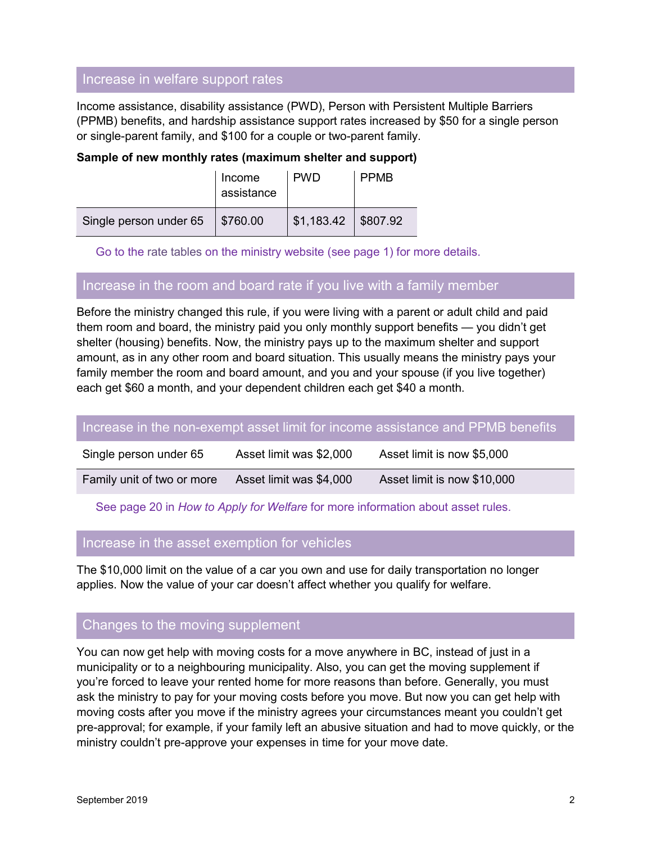## Increase in welfare support rates

Income assistance, disability assistance (PWD), Person with Persistent Multiple Barriers (PPMB) benefits, and hardship assistance support rates increased by \$50 for a single person or single-parent family, and \$100 for a couple or two-parent family.

## **Sample of new monthly rates (maximum shelter and support)**

|                        | Income<br>assistance | <b>PWD</b>            | <b>PPMB</b> |
|------------------------|----------------------|-----------------------|-------------|
| Single person under 65 | $\parallel$ \$760.00 | $$1,183.42$ $$807.92$ |             |

Go to the [rate tables](https://www2.gov.bc.ca/gov/content/governments/policies-for-government/bcea-policy-and-procedure-manual/bc-employment-and-assistance-rate-tables) on the ministry website (see page 1) for more details.

## Increase in the room and board rate if you live with a family member

Before the ministry changed this rule, if you were living with a parent or adult child and paid them room and board, the ministry paid you only monthly support benefits — you didn't get shelter (housing) benefits. Now, the ministry pays up to the maximum shelter and support amount, as in any other room and board situation. This usually means the ministry pays your family member the room and board amount, and you and your spouse (if you live together) each get \$60 a month, and your dependent children each get \$40 a month.

### Increase in the non-exempt asset limit for income assistance and PPMB benefits

| Single person under 65     | Asset limit was \$2,000 | Asset limit is now \$5,000  |
|----------------------------|-------------------------|-----------------------------|
| Family unit of two or more | Asset limit was \$4,000 | Asset limit is now \$10,000 |

### See page 20 in *[How to Apply for Welfare](https://api.lss.bc.ca/resources/pdfs/pubs/How-to-Apply-for-Welfare-eng.pdf)* for more information about asset rules.

## Increase in the asset exemption for vehicles

The \$10,000 limit on the value of a car you own and use for daily transportation no longer applies. Now the value of your car doesn't affect whether you qualify for welfare.

## Changes to the moving supplement

You can now get help with moving costs for a move anywhere in BC, instead of just in a municipality or to a neighbouring municipality. Also, you can get the moving supplement if you're forced to leave your rented home for more reasons than before. Generally, you must ask the ministry to pay for your moving costs before you move. But now you can get help with moving costs after you move if the ministry agrees your circumstances meant you couldn't get pre-approval; for example, if your family left an abusive situation and had to move quickly, or the ministry couldn't pre-approve your expenses in time for your move date.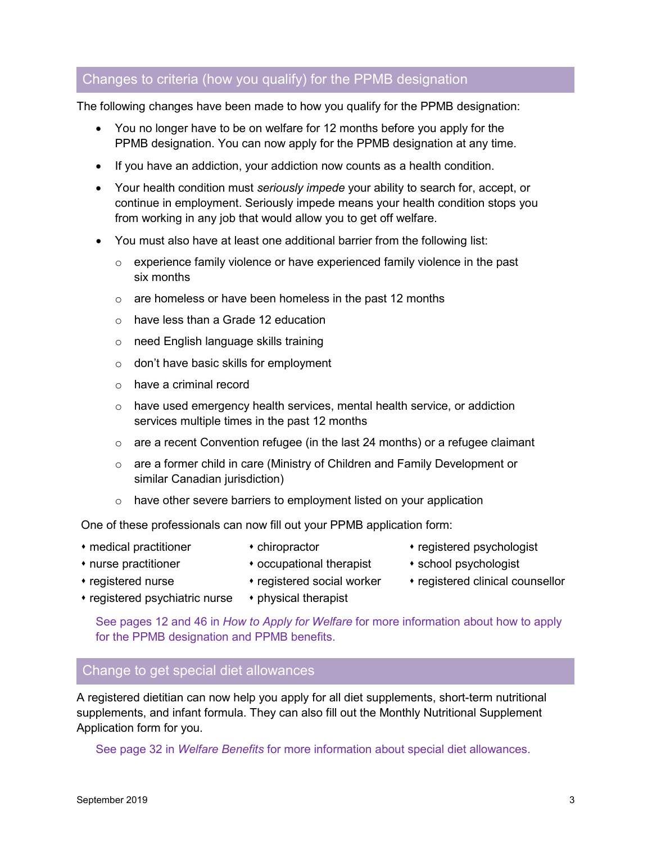## Changes to criteria (how you qualify) for the PPMB designation

The following changes have been made to how you qualify for the PPMB designation:

- You no longer have to be on welfare for 12 months before you apply for the PPMB designation. You can now apply for the PPMB designation at any time.
- If you have an addiction, your addiction now counts as a health condition.
- Your health condition must *seriously impede* your ability to search for, accept, or continue in employment. Seriously impede means your health condition stops you from working in any job that would allow you to get off welfare.
- You must also have at least one additional barrier from the following list:
	- $\circ$  experience family violence or have experienced family violence in the past six months
	- $\circ$  are homeless or have been homeless in the past 12 months
	- o have less than a Grade 12 education
	- o need English language skills training
	- o don't have basic skills for employment
	- o have a criminal record
	- $\circ$  have used emergency health services, mental health service, or addiction services multiple times in the past 12 months
	- o are a recent Convention refugee (in the last 24 months) or a refugee claimant
	- $\circ$  are a former child in care (Ministry of Children and Family Development or similar Canadian jurisdiction)
	- $\circ$  have other severe barriers to employment listed on your application

One of these professionals can now fill out your PPMB application form:

- 
- 
- medical practitioner chiropractor registered psychologist
- 
- nurse practitioner cocupational therapist school psychologist
- registered nurse registered social worker registered clinical counsellor
- $*$  registered psychiatric nurse  $*$  physical therapist

See pages 12 and 46 in *[How to Apply for Welfare](https://api.lss.bc.ca/resources/pdfs/pubs/How-to-Apply-for-Welfare-eng.pdf)* for more information about how to apply for the PPMB designation and PPMB benefits.

## Change to get special diet allowances

A registered dietitian can now help you apply for all diet supplements, short-term nutritional supplements, and infant formula. They can also fill out the Monthly Nutritional Supplement Application form for you.

See page 32 in *[Welfare Benefits](https://api.lss.bc.ca/resources/pdfs/pubs/Welfare-Benefits-eng.pdf)* for more information about special diet allowances.